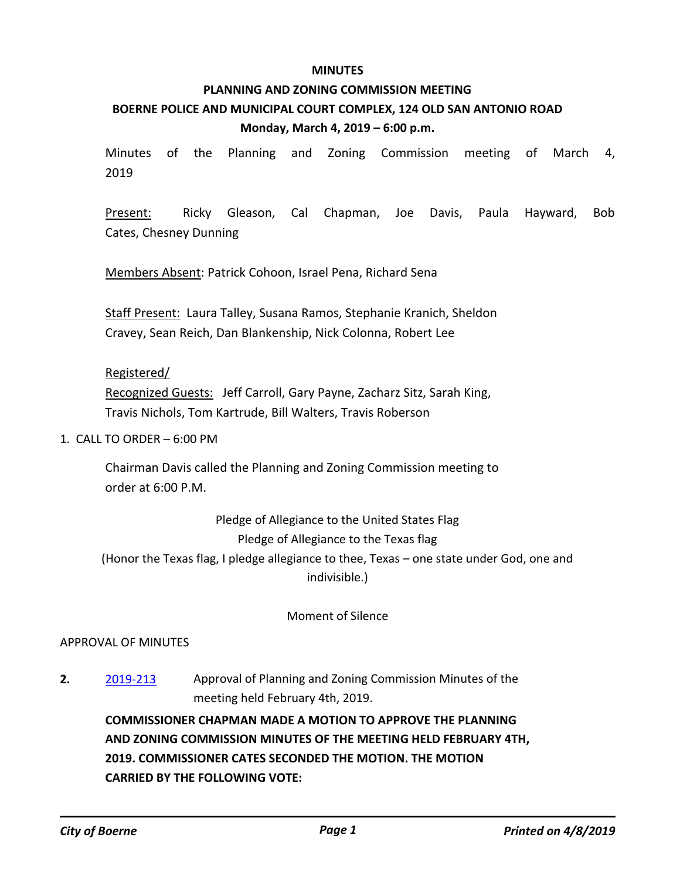#### **MINUTES**

# **PLANNING AND ZONING COMMISSION MEETING BOERNE POLICE AND MUNICIPAL COURT COMPLEX, 124 OLD SAN ANTONIO ROAD Monday, March 4, 2019 – 6:00 p.m.**

Minutes of the Planning and Zoning Commission meeting of March 4, 2019

Present: Ricky Gleason, Cal Chapman, Joe Davis, Paula Hayward, Bob Cates, Chesney Dunning

Members Absent: Patrick Cohoon, Israel Pena, Richard Sena

Staff Present: Laura Talley, Susana Ramos, Stephanie Kranich, Sheldon Cravey, Sean Reich, Dan Blankenship, Nick Colonna, Robert Lee

### Registered/

Recognized Guests: Jeff Carroll, Gary Payne, Zacharz Sitz, Sarah King, Travis Nichols, Tom Kartrude, Bill Walters, Travis Roberson

1. CALL TO ORDER – 6:00 PM

Chairman Davis called the Planning and Zoning Commission meeting to order at 6:00 P.M.

Pledge of Allegiance to the United States Flag Pledge of Allegiance to the Texas flag (Honor the Texas flag, I pledge allegiance to thee, Texas – one state under God, one and indivisible.)

Moment of Silence

# APPROVAL OF MINUTES

**2.** [2019-213](http://boerne.legistar.com/gateway.aspx?m=l&id=/matter.aspx?key=4039) Approval of Planning and Zoning Commission Minutes of the meeting held February 4th, 2019.

**COMMISSIONER CHAPMAN MADE A MOTION TO APPROVE THE PLANNING AND ZONING COMMISSION MINUTES OF THE MEETING HELD FEBRUARY 4TH, 2019. COMMISSIONER CATES SECONDED THE MOTION. THE MOTION CARRIED BY THE FOLLOWING VOTE:**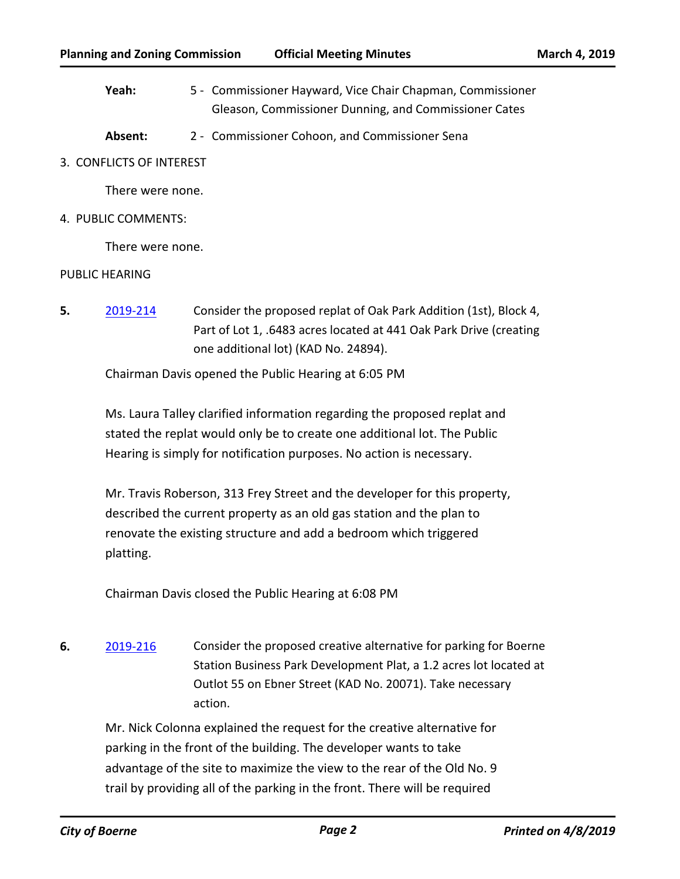- Yeah: 5 Commissioner Hayward, Vice Chair Chapman, Commissioner Gleason, Commissioner Dunning, and Commissioner Cates
- **Absent:** 2 Commissioner Cohoon, and Commissioner Sena
- 3. CONFLICTS OF INTEREST

There were none.

4. PUBLIC COMMENTS:

There were none.

### PUBLIC HEARING

**5.** [2019-214](http://boerne.legistar.com/gateway.aspx?m=l&id=/matter.aspx?key=4040) Consider the proposed replat of Oak Park Addition (1st), Block 4, Part of Lot 1, .6483 acres located at 441 Oak Park Drive (creating one additional lot) (KAD No. 24894).

Chairman Davis opened the Public Hearing at 6:05 PM

Ms. Laura Talley clarified information regarding the proposed replat and stated the replat would only be to create one additional lot. The Public Hearing is simply for notification purposes. No action is necessary.

Mr. Travis Roberson, 313 Frey Street and the developer for this property, described the current property as an old gas station and the plan to renovate the existing structure and add a bedroom which triggered platting.

Chairman Davis closed the Public Hearing at 6:08 PM

**6.** [2019-216](http://boerne.legistar.com/gateway.aspx?m=l&id=/matter.aspx?key=4042) Consider the proposed creative alternative for parking for Boerne Station Business Park Development Plat, a 1.2 acres lot located at Outlot 55 on Ebner Street (KAD No. 20071). Take necessary action.

Mr. Nick Colonna explained the request for the creative alternative for parking in the front of the building. The developer wants to take advantage of the site to maximize the view to the rear of the Old No. 9 trail by providing all of the parking in the front. There will be required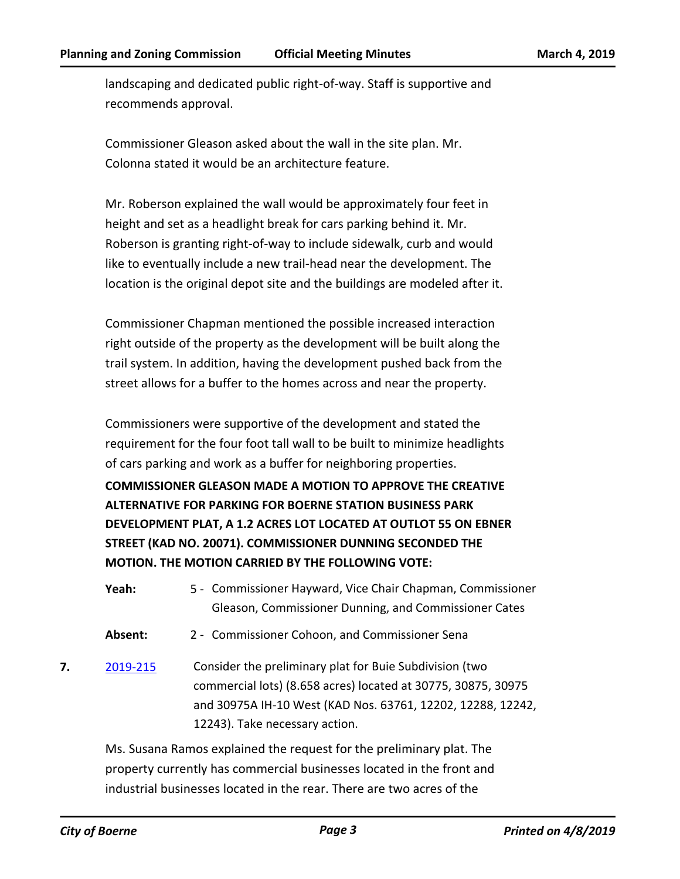landscaping and dedicated public right-of-way. Staff is supportive and recommends approval.

Commissioner Gleason asked about the wall in the site plan. Mr. Colonna stated it would be an architecture feature.

Mr. Roberson explained the wall would be approximately four feet in height and set as a headlight break for cars parking behind it. Mr. Roberson is granting right-of-way to include sidewalk, curb and would like to eventually include a new trail-head near the development. The location is the original depot site and the buildings are modeled after it.

Commissioner Chapman mentioned the possible increased interaction right outside of the property as the development will be built along the trail system. In addition, having the development pushed back from the street allows for a buffer to the homes across and near the property.

Commissioners were supportive of the development and stated the requirement for the four foot tall wall to be built to minimize headlights of cars parking and work as a buffer for neighboring properties.

**COMMISSIONER GLEASON MADE A MOTION TO APPROVE THE CREATIVE ALTERNATIVE FOR PARKING FOR BOERNE STATION BUSINESS PARK DEVELOPMENT PLAT, A 1.2 ACRES LOT LOCATED AT OUTLOT 55 ON EBNER STREET (KAD NO. 20071). COMMISSIONER DUNNING SECONDED THE MOTION. THE MOTION CARRIED BY THE FOLLOWING VOTE:**

- Yeah: 5 Commissioner Hayward, Vice Chair Chapman, Commissioner Gleason, Commissioner Dunning, and Commissioner Cates
- **Absent:** 2 Commissioner Cohoon, and Commissioner Sena
- **7.** [2019-215](http://boerne.legistar.com/gateway.aspx?m=l&id=/matter.aspx?key=4041) Consider the preliminary plat for Buie Subdivision (two commercial lots) (8.658 acres) located at 30775, 30875, 30975 and 30975A IH-10 West (KAD Nos. 63761, 12202, 12288, 12242, 12243). Take necessary action.

Ms. Susana Ramos explained the request for the preliminary plat. The property currently has commercial businesses located in the front and industrial businesses located in the rear. There are two acres of the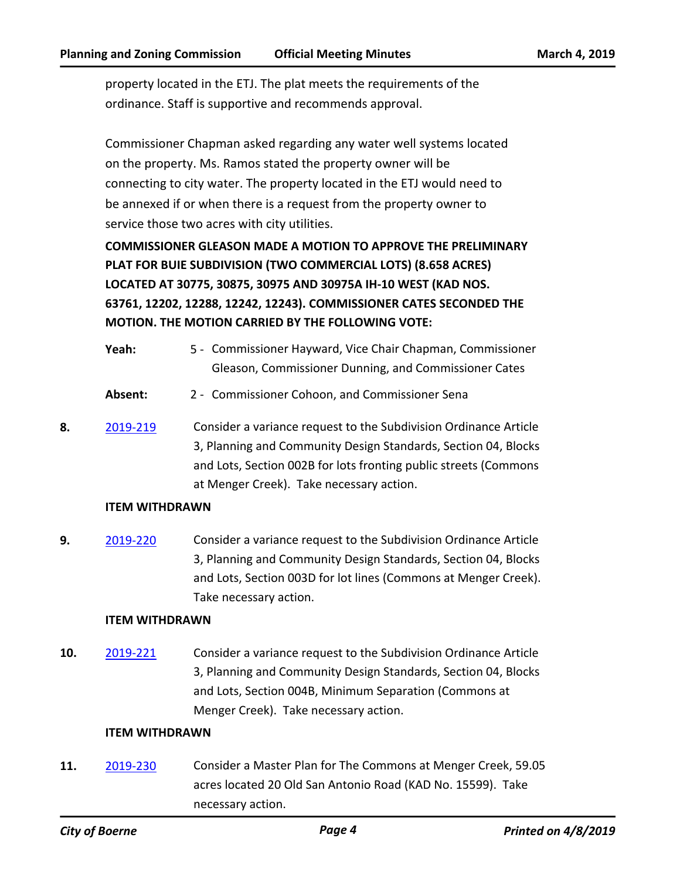property located in the ETJ. The plat meets the requirements of the ordinance. Staff is supportive and recommends approval.

Commissioner Chapman asked regarding any water well systems located on the property. Ms. Ramos stated the property owner will be connecting to city water. The property located in the ETJ would need to be annexed if or when there is a request from the property owner to service those two acres with city utilities.

**COMMISSIONER GLEASON MADE A MOTION TO APPROVE THE PRELIMINARY PLAT FOR BUIE SUBDIVISION (TWO COMMERCIAL LOTS) (8.658 ACRES) LOCATED AT 30775, 30875, 30975 AND 30975A IH-10 WEST (KAD NOS. 63761, 12202, 12288, 12242, 12243). COMMISSIONER CATES SECONDED THE MOTION. THE MOTION CARRIED BY THE FOLLOWING VOTE:**

- Yeah: 5 Commissioner Hayward, Vice Chair Chapman, Commissioner Gleason, Commissioner Dunning, and Commissioner Cates
- **Absent:** 2 Commissioner Cohoon, and Commissioner Sena
- **8.** [2019-219](http://boerne.legistar.com/gateway.aspx?m=l&id=/matter.aspx?key=4045) Consider a variance request to the Subdivision Ordinance Article 3, Planning and Community Design Standards, Section 04, Blocks and Lots, Section 002B for lots fronting public streets (Commons at Menger Creek). Take necessary action.

# **ITEM WITHDRAWN**

**9.** [2019-220](http://boerne.legistar.com/gateway.aspx?m=l&id=/matter.aspx?key=4046) Consider a variance request to the Subdivision Ordinance Article 3, Planning and Community Design Standards, Section 04, Blocks and Lots, Section 003D for lot lines (Commons at Menger Creek). Take necessary action.

# **ITEM WITHDRAWN**

**10.** [2019-221](http://boerne.legistar.com/gateway.aspx?m=l&id=/matter.aspx?key=4047) Consider a variance request to the Subdivision Ordinance Article 3, Planning and Community Design Standards, Section 04, Blocks and Lots, Section 004B, Minimum Separation (Commons at Menger Creek). Take necessary action.

# **ITEM WITHDRAWN**

**11.** [2019-230](http://boerne.legistar.com/gateway.aspx?m=l&id=/matter.aspx?key=4056) Consider a Master Plan for The Commons at Menger Creek, 59.05 acres located 20 Old San Antonio Road (KAD No. 15599). Take necessary action.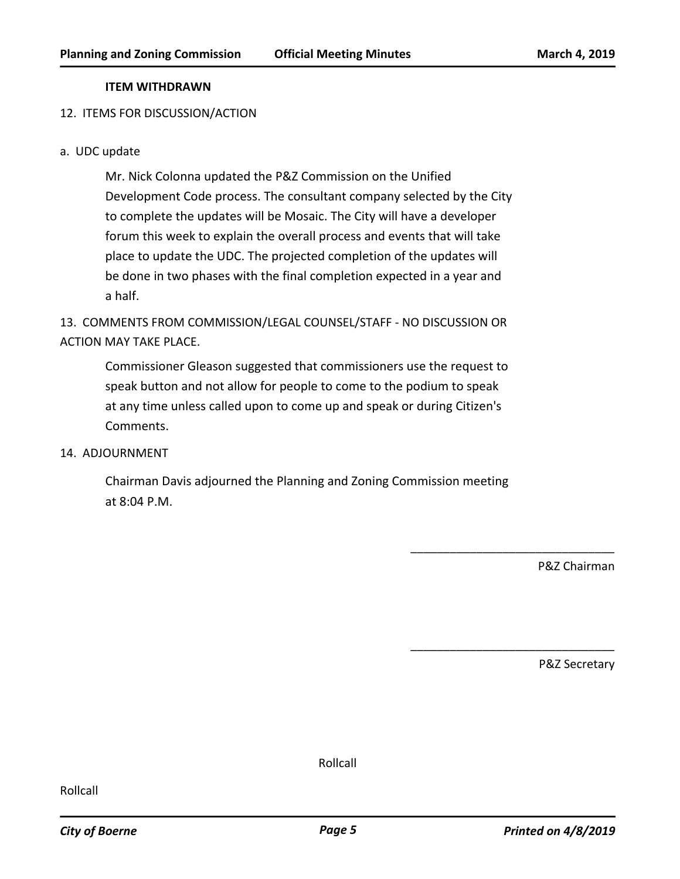#### **ITEM WITHDRAWN**

#### 12. ITEMS FOR DISCUSSION/ACTION

#### a. UDC update

Mr. Nick Colonna updated the P&Z Commission on the Unified Development Code process. The consultant company selected by the City to complete the updates will be Mosaic. The City will have a developer forum this week to explain the overall process and events that will take place to update the UDC. The projected completion of the updates will be done in two phases with the final completion expected in a year and a half.

13. COMMENTS FROM COMMISSION/LEGAL COUNSEL/STAFF - NO DISCUSSION OR ACTION MAY TAKE PLACE.

Commissioner Gleason suggested that commissioners use the request to speak button and not allow for people to come to the podium to speak at any time unless called upon to come up and speak or during Citizen's Comments.

## 14. ADJOURNMENT

Chairman Davis adjourned the Planning and Zoning Commission meeting at 8:04 P.M.

P&Z Chairman

\_\_\_\_\_\_\_\_\_\_\_\_\_\_\_\_\_\_\_\_\_\_\_\_\_\_\_\_\_\_\_

\_\_\_\_\_\_\_\_\_\_\_\_\_\_\_\_\_\_\_\_\_\_\_\_\_\_\_\_\_\_\_

P&Z Secretary

Rollcall

Rollcall